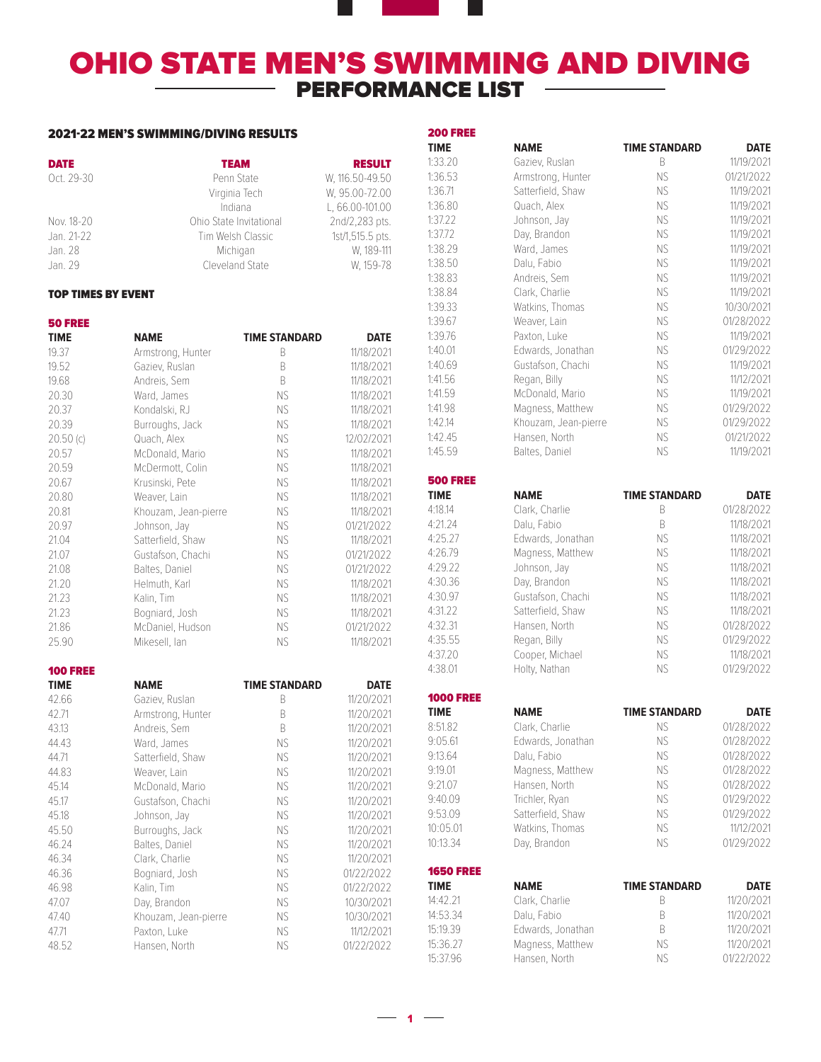## OHIO STATE MEN'S SWIMMING AND DIVING  $-$  PERFORMANCE LIST  $-$

a sa na

### 2021-22 MEN'S SWIMMING/DIVING RESULTS

| <b>DATE</b>        | <b>TEAM</b>                 | <b>RESULT</b>           |
|--------------------|-----------------------------|-------------------------|
| Oct. 29-30         | Penn State                  | W. 116.50-49.50         |
|                    | Virginia Tech               | W. 95.00-72.00          |
|                    | Indiana                     | L, 66.00-101.00         |
| Nov. 18-20         | Ohio State Invitational     | 2nd/2,283 pts.          |
| Jan. 21-22         | Tim Welsh Classic           | 1st/1,515.5 pts.        |
| Jan. 28<br>Jan. 29 | Michigan<br>Cleveland State | W. 189-111<br>W. 159-78 |

#### TOP TIMES BY EVENT

| <b>50 FREE</b>  |                      |                      |             |
|-----------------|----------------------|----------------------|-------------|
| <b>TIME</b>     | <b>NAME</b>          | <b>TIME STANDARD</b> | <b>DATE</b> |
| 19.37           | Armstrong, Hunter    | B                    | 11/18/2021  |
| 19.52           | Gaziev, Ruslan       | B.                   | 11/18/2021  |
| 19.68           | Andreis, Sem         | B.                   | 11/18/2021  |
| 20.30           | Ward, James          | <b>NS</b>            | 11/18/2021  |
| 20.37           | Kondalski, RJ        | <b>NS</b>            | 11/18/2021  |
| 20.39           | Burroughs, Jack      | <b>NS</b>            | 11/18/2021  |
| 20.50(c)        | Quach, Alex          | NS.                  | 12/02/2021  |
| 20.57           | McDonald, Mario      | NS.                  | 11/18/2021  |
| 20.59           | McDermott, Colin     | <b>NS</b>            | 11/18/2021  |
| 20.67           | Krusinski, Pete      | NS.                  | 11/18/2021  |
| 20.80           | Weaver, Lain         | <b>NS</b>            | 11/18/2021  |
| 20.81           | Khouzam, Jean-pierre | <b>NS</b>            | 11/18/2021  |
| 20.97           | Johnson, Jay         | <b>NS</b>            | 01/21/2022  |
| 21.04           | Satterfield, Shaw    | NS                   | 11/18/2021  |
| 21.07           | Gustafson, Chachi    | NS.                  | 01/21/2022  |
| 21.08           | Baltes, Daniel       | NS.                  | 01/21/2022  |
| 21.20           | Helmuth, Karl        | <b>NS</b>            | 11/18/2021  |
| 21.23           | Kalin, Tim           | NS.                  | 11/18/2021  |
| 21.23           | Bogniard, Josh       | <b>NS</b>            | 11/18/2021  |
| 21.86           | McDaniel, Hudson     | <b>NS</b>            | 01/21/2022  |
| 25.90           | Mikesell, lan        | NS.                  | 11/18/2021  |
| <b>100 FREE</b> |                      |                      |             |
| <b>TIME</b>     | <b>NAME</b>          | <b>TIME STANDARD</b> | <b>DATE</b> |
| 42.66           | Gaziev, Ruslan       | B.                   | 11/20/2021  |
| 42.71           | Armstrong, Hunter    | B                    | 11/20/2021  |
| 43.13           | Andreis, Sem         | B                    | 11/20/2021  |
| 44.43           | Ward, James          | NS                   | 11/20/2021  |
| 44.71           | Satterfield, Shaw    | NS.                  | 11/20/2021  |
| 44.83           | Weaver, Lain         | <b>NS</b>            | 11/20/2021  |
| 45.14           | McDonald, Mario      | <b>NS</b>            | 11/20/2021  |
| 45.17           | Gustafson, Chachi    | <b>NS</b>            | 11/20/2021  |
| 45.18           | Johnson, Jay         | NS.                  | 11/20/2021  |
| 45.50           | Burroughs, Jack      | NS.                  | 11/20/2021  |
| 46.24           | Baltes, Daniel       | <b>NS</b>            | 11/20/2021  |
| 46.34           | Clark, Charlie       | <b>NS</b>            | 11/20/2021  |
| 46.36           | Bogniard, Josh       | <b>NS</b>            | 01/22/2022  |
| 46.98           | Kalin, Tim           | <b>NS</b>            | 01/22/2022  |
| 47.07           | Day, Brandon         | <b>NS</b>            | 10/30/2021  |
| 47.40           | Khouzam, Jean-pierre | <b>NS</b>            | 10/30/2021  |
| 47.71           | Paxton, Luke         | NS                   | 11/12/2021  |
| 48.52           | Hansen, North        | NS.                  | 01/22/2022  |

| <b>200 FREE</b>          |                      |                      |             |
|--------------------------|----------------------|----------------------|-------------|
| <b>TIME</b>              | <b>NAME</b>          | <b>TIME STANDARD</b> | <b>DATE</b> |
| 1:33.20                  | Gaziev, Ruslan       | B                    | 11/19/2021  |
| 1:36.53                  | Armstrong, Hunter    | NS.                  | 01/21/2022  |
| 1:36.71                  | Satterfield, Shaw    | NS.                  | 11/19/2021  |
| 1:36.80                  | Quach, Alex          | ΝS                   | 11/19/2021  |
| 1:37.22                  | Johnson, Jay         | NS.                  | 11/19/2021  |
| 1:37.72                  | Day, Brandon         | NS.                  | 11/19/2021  |
| 1:38.29                  | Ward, James          | NS.                  | 11/19/2021  |
| 1:38.50                  | Dalu, Fabio          | NS.                  | 11/19/2021  |
| 1:38.83                  | Andreis, Sem         | NS                   | 11/19/2021  |
| 1:38.84                  | Clark, Charlie       | NS.                  | 11/19/2021  |
| 1:39.33                  | Watkins, Thomas      | NS.                  | 10/30/2021  |
| 1:39.67                  | Weaver, Lain         | NS.                  | 01/28/2022  |
| 1:39.76                  | Paxton, Luke         | NS.                  | 11/19/2021  |
| 1:40.01                  | Edwards, Jonathan    | NS                   | 01/29/2022  |
| 1:40.69                  | Gustafson, Chachi    | NS.                  | 11/19/2021  |
| 1:41.56                  | Regan, Billy         | NS.                  | 11/12/2021  |
| 1:41.59                  | McDonald, Mario      | <b>NS</b>            | 11/19/2021  |
| 1:41.98                  | Magness, Matthew     | NS.                  | 01/29/2022  |
| 1:42.14                  |                      |                      |             |
|                          | Khouzam, Jean-pierre | ΝS                   | 01/29/2022  |
| 1:42.45                  | Hansen, North        | NS.                  | 01/21/2022  |
| 1:45.59                  | Baltes, Daniel       | NS.                  | 11/19/2021  |
| <b>500 FREE</b>          |                      |                      |             |
| <b>TIME</b>              | <b>NAME</b>          | <b>TIME STANDARD</b> | <b>DATE</b> |
| 4:18.14                  | Clark, Charlie       | B                    | 01/28/2022  |
| 4:21.24                  | Dalu, Fabio          | B                    | 11/18/2021  |
| 4:25.27                  | Edwards, Jonathan    | <b>NS</b>            | 11/18/2021  |
| 4:26.79                  | Magness, Matthew     | NS.                  | 11/18/2021  |
| 4:29.22                  | Johnson, Jay         | <b>NS</b>            | 11/18/2021  |
| 4:30.36                  | Day, Brandon         | NS.                  | 11/18/2021  |
| 4:30.97                  | Gustafson, Chachi    | <b>NS</b>            | 11/18/2021  |
| 4:31.22                  | Satterfield, Shaw    | <b>NS</b>            | 11/18/2021  |
| 4:32.31                  | Hansen, North        | NS.                  | 01/28/2022  |
| 4:35.55                  | Regan, Billy         | ΝS                   | 01/29/2022  |
| 4:37.20                  | Cooper, Michael      | NS.                  | 11/18/2021  |
| 4:38.01                  | Holty, Nathan        | NS.                  | 01/29/2022  |
| <b>1000 FREE</b>         |                      |                      |             |
| <b>TIME</b>              | <b>NAME</b>          | <b>TIME STANDARD</b> | <b>DATE</b> |
| 8:51.82                  | Clark, Charlie       | ΝS                   | 01/28/2022  |
| 9:05.61                  | Edwards, Jonathan    | ΝS                   | 01/28/2022  |
| 9:13.64                  | Dalu, Fabio          | NS                   | 01/28/2022  |
| 9:19.01                  | Magness, Matthew     | NS                   | 01/28/2022  |
| 9:21.07                  | Hansen, North        | NS.                  | 01/28/2022  |
| 9:40.09                  | Trichler, Ryan       | NS.                  | 01/29/2022  |
| 9:53.09                  | Satterfield, Shaw    | NS.                  | 01/29/2022  |
| 10:05.01                 | Watkins, Thomas      | NS.                  | 11/12/2021  |
| 10:13.34                 | Day, Brandon         | NS                   | 01/29/2022  |
|                          |                      |                      |             |
| <b>1650 FREE</b><br>TIME | <b>NAME</b>          | <b>TIME STANDARD</b> | <b>DATE</b> |
| 14:42.21                 | Clark, Charlie       | B                    | 11/20/2021  |
| 14:53.34                 | Dalu, Fabio          | B                    | 11/20/2021  |
| 15:19.39                 | Edwards, Jonathan    | B                    | 11/20/2021  |
| 15:36.27                 | Magness, Matthew     | ΝS                   | 11/20/2021  |
| 15:37.96                 | Hansen, North        | NS                   | 01/22/2022  |
|                          |                      |                      |             |
|                          |                      |                      |             |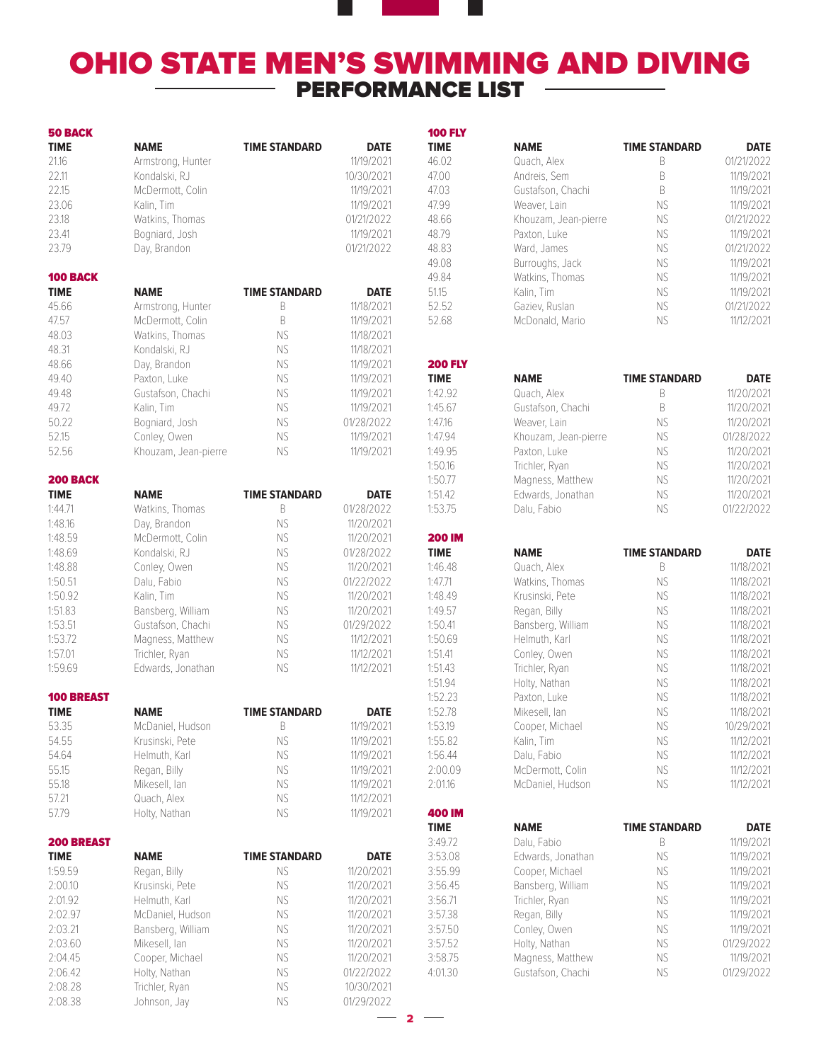# **OHIO STATE MEN'S SWIMMING AND DIVING** PERFORMANCE LIST

 $-$  2  $-$ 

400 IM

| <b>50 BACK</b>                   |                      |                      |             |
|----------------------------------|----------------------|----------------------|-------------|
| <b>TIME</b>                      | <b>NAME</b>          | <b>TIME STANDARD</b> | <b>DATE</b> |
| 21.16                            | Armstrong, Hunter    |                      | 11/19/2021  |
| 22.11                            | Kondalski, RJ        |                      | 10/30/2021  |
| 22.15                            | McDermott, Colin     |                      | 11/19/2021  |
| 23.06                            | Kalin, Tim           |                      | 11/19/2021  |
| 23.18                            | Watkins, Thomas      |                      | 01/21/2022  |
| 23.41                            | Bogniard, Josh       |                      | 11/19/2021  |
| 23.79                            | Day, Brandon         |                      | 01/21/2022  |
|                                  |                      |                      |             |
| 100 BACK                         |                      |                      |             |
| <b>TIME</b>                      | <b>NAME</b>          | <b>TIME STANDARD</b> | <b>DATE</b> |
| 45.66                            | Armstrong, Hunter    | B                    | 11/18/2021  |
| 47.57                            | McDermott, Colin     | B                    | 11/19/2021  |
| 48.03                            | Watkins, Thomas      | NS                   | 11/18/2021  |
| 48.31                            | Kondalski, RJ        | NS                   | 11/18/2021  |
| 48.66                            | Day, Brandon         | <b>NS</b>            | 11/19/2021  |
| 49.40                            | Paxton, Luke         | <b>NS</b>            | 11/19/2021  |
| 49.48                            | Gustafson, Chachi    | <b>NS</b>            | 11/19/2021  |
| 49.72                            | Kalin, Tim           | NS                   | 11/19/2021  |
| 50.22                            | Bogniard, Josh       | NS                   | 01/28/2022  |
| 52.15                            | Conley, Owen         | <b>NS</b>            | 11/19/2021  |
| 52.56                            | Khouzam, Jean-pierre | ΝS                   | 11/19/2021  |
|                                  |                      |                      |             |
| <b>200 BACK</b>                  |                      |                      |             |
| <b>TIME</b>                      | NAME                 | <b>TIME STANDARD</b> | <b>DATE</b> |
| 1:44.71                          | Watkins, Thomas      | B                    | 01/28/2022  |
| 1:48.16                          | Day, Brandon         | <b>NS</b>            | 11/20/2021  |
| 1:48.59                          | McDermott, Colin     | <b>NS</b>            | 11/20/2021  |
| 1:48.69                          | Kondalski, RJ        | NS                   | 01/28/2022  |
| 1:48.88                          | Conley, Owen         | NS                   | 11/20/2021  |
| 1:50.51                          | Dalu, Fabio          | <b>NS</b>            | 01/22/2022  |
| 1:50.92                          | Kalin, Tim           | <b>NS</b>            | 11/20/2021  |
| 1:51.83                          | Bansberg, William    | <b>NS</b>            | 11/20/2021  |
| 1:53.51                          | Gustafson, Chachi    | <b>NS</b>            | 01/29/2022  |
| 1:53.72                          | Magness, Matthew     | <b>NS</b>            | 11/12/2021  |
| 1:57.01                          | Trichler, Rvan       | <b>NS</b>            | 11/12/2021  |
| 1:59.69                          | Edwards, Jonathan    | NS                   | 11/12/2021  |
| <b>100 BREAST</b>                |                      |                      |             |
| <b>TIME</b>                      | <b>NAME</b>          | <b>TIME STANDARD</b> | <b>DATE</b> |
| 53.35                            | McDaniel, Hudson     | B                    | 11/19/2021  |
| 54.55                            | Krusinski, Pete      | ΝS                   | 11/19/2021  |
| 54.64                            | Helmuth, Karl        | NS                   | 11/19/2021  |
| 55.15                            | Regan, Billy         | NS                   | 11/19/2021  |
| 55.18                            | Mikesell, lan        | NS                   | 11/19/2021  |
| 57.21                            | Quach, Alex          | <b>NS</b>            | 11/12/2021  |
| 57.79                            | Holty, Nathan        | ΝS                   | 11/19/2021  |
|                                  |                      |                      |             |
| <b>200 BREAST</b><br><b>TIME</b> | <b>NAME</b>          | <b>TIME STANDARD</b> | <b>DATE</b> |
| 1:59.59                          | Regan, Billy         | ΝS                   | 11/20/2021  |
| 2:00.10                          | Krusinski, Pete      | ΝS                   | 11/20/2021  |
| 2:01.92                          | Helmuth, Karl        | NS                   | 11/20/2021  |
| 2:02.97                          | McDaniel, Hudson     | NS                   | 11/20/2021  |
| 2:03.21                          | Bansberg, William    | NS                   | 11/20/2021  |
| 2:03.60                          | Mikesell, lan        | <b>NS</b>            | 11/20/2021  |
| 2:04.45                          | Cooper, Michael      | NS                   | 11/20/2021  |
| 2:06.42                          | Holty, Nathan        | NS                   | 01/22/2022  |
| 2:08.28                          | Trichler, Ryan       | NS                   | 10/30/2021  |
| 2:08.38                          | Johnson, Jay         | <b>NS</b>            | 01/29/2022  |
|                                  |                      |                      |             |

| <b>100 FLY</b>         |                                |                           |                           |
|------------------------|--------------------------------|---------------------------|---------------------------|
| <b>TIME</b>            | <b>NAME</b>                    | <b>TIME STANDARD</b>      | <b>DATE</b>               |
| 46.02                  | Quach, Alex                    | B                         | 01/21/2022                |
| 47.00                  | Andreis, Sem                   | B                         | 11/19/2021                |
| 47.03                  | Gustafson, Chachi              | B                         | 11/19/2021                |
| 47.99                  | Weaver, Lain                   | ΝS                        | 11/19/2021                |
| 48.66                  | Khouzam, Jean-pierre           | <b>NS</b>                 | 01/21/2022                |
| 48.79                  | Paxton, Luke                   | <b>NS</b>                 | 11/19/2021                |
| 48.83                  | Ward, James                    | NS                        | 01/21/2022                |
| 49.08                  | Burroughs, Jack                | NS                        | 11/19/2021                |
| 49.84                  | Watkins, Thomas                | NS                        | 11/19/2021                |
| 51.15                  | Kalin, Tim                     | NS                        | 11/19/2021                |
| 52.52                  | Gaziev, Ruslan                 | <b>NS</b>                 | 01/21/2022                |
| 52.68                  | McDonald, Mario                | NS                        | 11/12/2021                |
| <b>200 FLY</b>         |                                |                           |                           |
| <b>TIME</b>            | <b>NAME</b>                    | <b>TIME STANDARD</b>      | <b>DATE</b>               |
| 1:42.92                | Quach, Alex                    | B                         | 11/20/2021                |
| 1:45.67                | Gustafson, Chachi              | B                         | 11/20/2021                |
| 1:47.16                | Weaver, Lain                   | NS                        | 11/20/2021                |
| 1:47.94                | Khouzam, Jean-pierre           | NS                        | 01/28/2022                |
| 1:49.95                | Paxton, Luke                   | <b>NS</b>                 | 11/20/2021                |
| 1:50.16                | Trichler, Ryan                 | NS                        | 11/20/2021                |
| 1:50.77                | Magness, Matthew               | ΝS                        | 11/20/2021                |
| 1:51.42                | Edwards, Jonathan              | NS                        | 11/20/2021                |
| 1:53.75                | Dalu, Fabio                    | NS.                       | 01/22/2022                |
| <b>200 IM</b>          |                                |                           |                           |
| <b>TIME</b><br>1:46.48 | <b>NAME</b>                    | <b>TIME STANDARD</b><br>B | <b>DATE</b><br>11/18/2021 |
| 1:47.71                | Quach, Alex<br>Watkins, Thomas | NS                        | 11/18/2021                |
| 1:48.49                | Krusinski, Pete                | ΝS                        | 11/18/2021                |
| 1:49.57                | Regan, Billy                   | ΝS                        | 11/18/2021                |
| 1:50.41                | Bansberg, William              | <b>NS</b>                 | 11/18/2021                |
| 1:50.69                | Helmuth, Karl                  | <b>NS</b>                 | 11/18/2021                |
| 1:51.41                | Conley, Owen                   | <b>NS</b>                 | 11/18/2021                |
| 1:51.43                | Trichler, Ryan                 | NS                        | 11/18/2021                |
| 1:51.94                | Holty, Nathan                  | ΝS                        | 11/18/2021                |
| 1:52.23                | Paxton, Luke                   | <b>NS</b>                 | 11/18/2021                |
| 1:52.78                | Mikesell, lan                  | <b>NS</b>                 | 11/18/2021                |
| 1:53.19                | Cooper, Michael                | NS                        | 10/29/2021                |
| 1:55.82                | Kalin, Tim                     | NS                        | 11/12/2021                |
| 1:56.44                | Dalu, Fabio                    | <b>NS</b>                 | 11/12/2021                |
| 2:00.09                | McDermott, Colin               | NS                        | 11/12/2021                |
| 2:01.16                | McDaniel, Hudson               | NS                        | 11/12/2021                |
|                        |                                |                           |                           |

| או טש <del>י</del> |                   |                      |             |
|--------------------|-------------------|----------------------|-------------|
| TIME               | <b>NAME</b>       | <b>TIME STANDARD</b> | <b>DATE</b> |
| 3:49.72            | Dalu, Fabio       | R                    | 11/19/2021  |
| 3:53.08            | Edwards, Jonathan | NS.                  | 11/19/2021  |
| 3:55.99            | Cooper, Michael   | <b>NS</b>            | 11/19/2021  |
| 3:56.45            | Bansberg, William | <b>NS</b>            | 11/19/2021  |
| 3:56.71            | Trichler, Ryan    | <b>NS</b>            | 11/19/2021  |
| 3:57.38            | Regan, Billy      | <b>NS</b>            | 11/19/2021  |
| 3:57.50            | Conley, Owen      | <b>NS</b>            | 11/19/2021  |
| 3:57.52            | Holty, Nathan     | NS.                  | 01/29/2022  |
| 3:58.75            | Magness, Matthew  | <b>NS</b>            | 11/19/2021  |
| 4:01.30            | Gustafson, Chachi | NS.                  | 01/29/2022  |
|                    |                   |                      |             |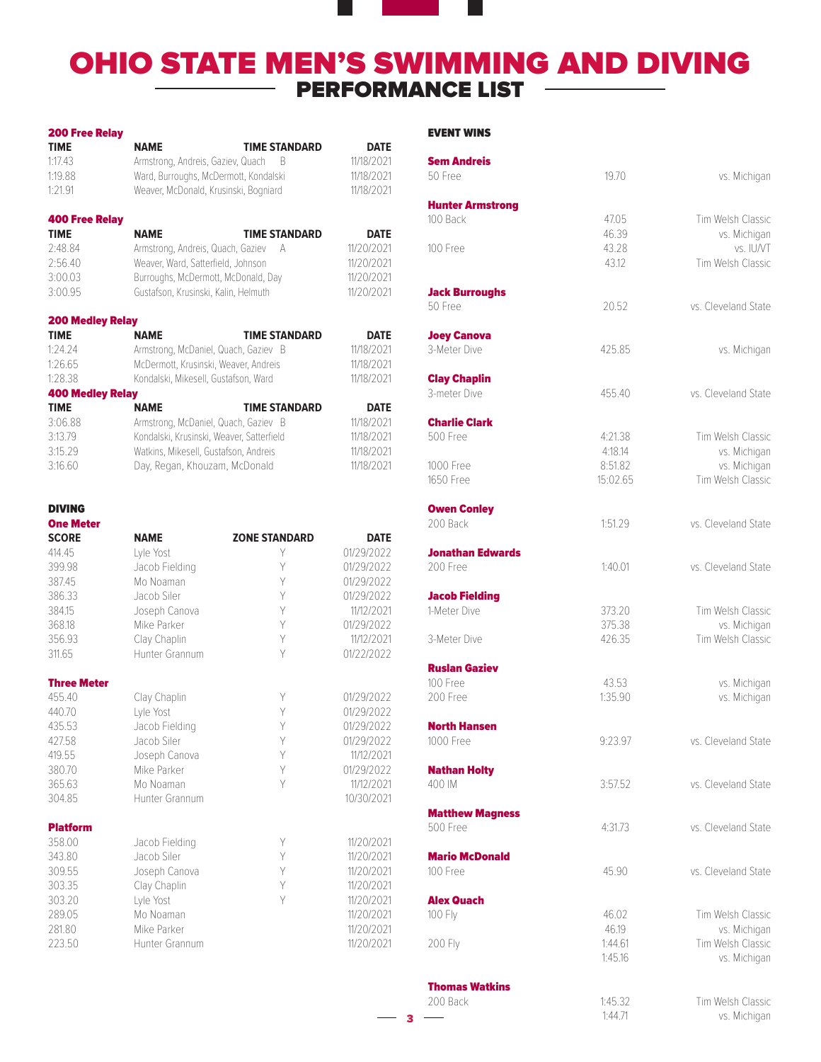# OHIO STATE MEN'S SWIMMING AND DIVING PERFORMANCE LIST

 $-<sub>3</sub>$ 

| <b>TIME</b><br><b>NAME</b>                       | <b>TIME STANDARD</b>                      | <b>DATE</b> |
|--------------------------------------------------|-------------------------------------------|-------------|
|                                                  |                                           |             |
| 1:17.43<br>Armstrong, Andreis, Gaziev, Quach     | - B                                       | 11/18/2021  |
| 1:19.88                                          | Ward, Burroughs, McDermott, Kondalski     |             |
| 1:21.91<br>Weaver, McDonald, Krusinski, Bogniard |                                           | 11/18/2021  |
| <b>400 Free Relay</b>                            |                                           |             |
| TIME<br><b>NAME</b>                              | <b>TIME STANDARD</b>                      | <b>DATE</b> |
| 2:48.84<br>Armstrong, Andreis, Quach, Gaziev     | А                                         | 11/20/2021  |
| 2:56.40<br>Weaver, Ward, Satterfield, Johnson    |                                           | 11/20/2021  |
| 3:00.03<br>Burroughs, McDermott, McDonald, Day   |                                           | 11/20/2021  |
| 3:00.95<br>Gustafson, Krusinski, Kalin, Helmuth  |                                           | 11/20/2021  |
| <b>200 Medley Relay</b>                          |                                           |             |
| <b>TIME</b><br><b>NAME</b>                       | <b>TIME STANDARD</b>                      | <b>DATE</b> |
| 1:24.24                                          | Armstrong, McDaniel, Quach, Gaziev B      | 11/18/2021  |
| 1:26.65<br>McDermott, Krusinski, Weaver, Andreis |                                           | 11/18/2021  |
| 1:28.38<br>Kondalski, Mikesell, Gustafson, Ward  |                                           | 11/18/2021  |
| <b>400 Medley Relay</b>                          |                                           |             |
| <b>TIME</b><br><b>NAME</b>                       | <b>TIME STANDARD</b>                      | <b>DATE</b> |
| 3:06.88                                          | Armstrong, McDaniel, Quach, Gaziev B      | 11/18/2021  |
| 3:13.79                                          | Kondalski, Krusinski, Weaver, Satterfield | 11/18/2021  |
| 3:15.29<br>Watkins, Mikesell, Gustafson, Andreis |                                           | 11/18/2021  |
| 3:16.60<br>Day, Regan, Khouzam, McDonald         |                                           | 11/18/2021  |
|                                                  |                                           |             |
| <b>DIVING</b><br><b>One Meter</b>                |                                           |             |
| <b>SCORE</b><br><b>NAME</b>                      | <b>ZONE STANDARD</b>                      | <b>DATE</b> |
| 414.45<br>Lyle Yost                              | Y                                         | 01/29/2022  |
| 399.98<br>Jacob Fielding                         | Y                                         | 01/29/2022  |
| 387.45<br>Mo Noaman                              | Y                                         | 01/29/2022  |
| 386.33<br>Jacob Siler                            | Y                                         | 01/29/2022  |
| 384.15<br>Joseph Canova                          | Y                                         | 11/12/2021  |
| 368.18<br>Mike Parker                            | Y                                         | 01/29/2022  |
| 356.93<br>Clay Chaplin                           | Y                                         | 11/12/2021  |
| 311.65<br>Hunter Grannum                         | Υ                                         | 01/22/2022  |
| <b>Three Meter</b>                               |                                           |             |
| 455.40<br>Clay Chaplin                           | Y                                         | 01/29/2022  |
| 440.70<br>Lyle Yost                              | Y                                         | 01/29/2022  |
| 435.53<br>Jacob Fielding                         | Y                                         | 01/29/2022  |
| Jacob Siler<br>427.58                            | Y                                         | 01/29/2022  |
| 419.55<br>Joseph Canova                          | Υ                                         | 11/12/2021  |
| Mike Parker<br>380.70                            | Y                                         | 01/29/2022  |
| 365.63<br>Mo Noaman                              | Y                                         | 11/12/2021  |
| 304.85<br>Hunter Grannum                         |                                           | 10/30/2021  |
| <b>Platform</b>                                  |                                           |             |
| 358.00<br>Jacob Fielding                         | Υ                                         | 11/20/2021  |
| 343.80<br>Jacob Siler                            | Y                                         | 11/20/2021  |
| 309.55<br>Joseph Canova                          | Y                                         | 11/20/2021  |
| 303.35<br>Clay Chaplin                           | Y                                         | 11/20/2021  |
| 303.20<br>Lyle Yost                              | Y                                         | 11/20/2021  |
| 289.05<br>Mo Noaman                              |                                           | 11/20/2021  |
| 281.80<br>Mike Parker                            |                                           | 11/20/2021  |
| 223.50<br>Hunter Grannum                         |                                           | 11/20/2021  |

### EVENT WINS

| <b>Sem Andreis</b><br>50 Free         | 19.70              | vs. Michigan                      |
|---------------------------------------|--------------------|-----------------------------------|
|                                       |                    |                                   |
| <b>Hunter Armstrong</b><br>100 Back   | 47.05              | Tim Welsh Classic                 |
|                                       | 46.39              | vs. Michigan                      |
| 100 Free                              | 43.28              | vs. IU/VT                         |
|                                       | 43.12              | Tim Welsh Classic                 |
| <b>Jack Burroughs</b>                 |                    |                                   |
| 50 Free                               | 20.52              | vs. Cleveland State               |
| <b>Joey Canova</b>                    |                    |                                   |
| 3-Meter Dive                          | 425.85             | vs. Michigan                      |
| <b>Clay Chaplin</b>                   |                    |                                   |
| 3-meter Dive                          | 455.40             | ys. Cleveland State               |
| <b>Charlie Clark</b><br>500 Free      | 4:21.38            | Tim Welsh Classic                 |
|                                       | 4:18.14            | vs. Michigan                      |
| 1000 Free                             | 8:51.82            | vs. Michigan                      |
| 1650 Free                             | 15:02.65           | Tim Welsh Classic                 |
| <b>Owen Conley</b>                    |                    |                                   |
| 200 Back                              | 1:51.29            | vs. Cleveland State               |
| Jonathan Edwards<br>200 Free          | 1:40.01            | vs. Cleveland State               |
|                                       |                    |                                   |
| <b>Jacob Fielding</b><br>1-Meter Dive | 373.20             | Tim Welsh Classic                 |
|                                       | 375.38             | vs. Michigan                      |
| 3-Meter Dive                          | 426.35             | Tim Welsh Classic                 |
| <b>Ruslan Gaziev</b>                  |                    |                                   |
| 100 Free                              | 43.53              | vs. Michigan                      |
| 200 Free                              | 1:35.90            | vs. Michigan                      |
| <b>North Hansen</b><br>1000 Free      | 9:23.97            | vs. Cleveland State               |
|                                       |                    |                                   |
| <b>Nathan Holty</b><br>400 IM         | 3:57.52            | vs. Cleveland State               |
|                                       |                    |                                   |
| <b>Matthew Magness</b><br>500 Free    | 4:31.73            | vs. Cleveland State               |
| <b>Mario McDonald</b>                 |                    |                                   |
| 100 Free                              | 45.90              | vs. Cleveland State               |
| <b>Alex Quach</b>                     |                    |                                   |
| 100 Fly                               | 46.02              | Tim Welsh Classic                 |
|                                       | 46.19              | vs. Michigan                      |
| 200 Fly                               | 1:44.61<br>1:45.16 | Tim Welsh Classic<br>vs. Michigan |
|                                       |                    |                                   |
| <b>Thomas Watkins</b><br>200 Back     | 1:45.32            | Tim Welsh Classic                 |
|                                       | 1:44.71            | vs. Michigan                      |